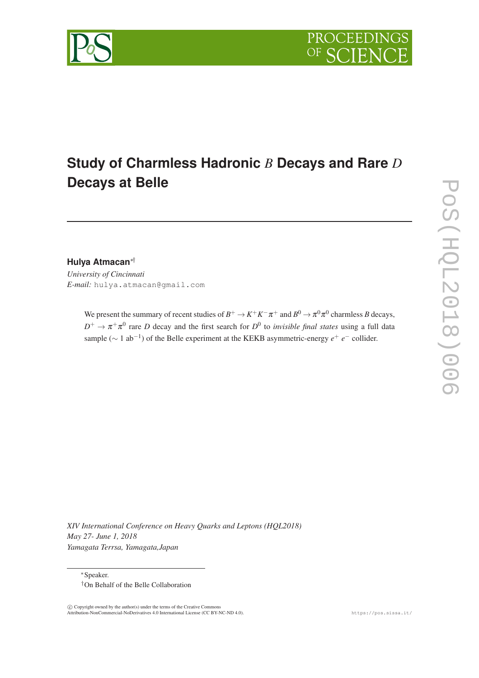

# **Study of Charmless Hadronic** *B* **Decays and Rare** *D* **Decays at Belle**

**Hulya Atmacan**∗† *University of Cincinnati E-mail:* hulya.atmacan@gmail.com

> We present the summary of recent studies of  $B^+ \to K^+K^-\pi^+$  and  $B^0 \to \pi^0\pi^0$  charmless *B* decays,  $D^+ \to \pi^+ \pi^0$  rare *D* decay and the first search for  $D^0$  to *invisible final states* using a full data sample ( $\sim$  1 ab<sup>-1</sup>) of the Belle experiment at the KEKB asymmetric-energy  $e^+$   $e^-$  collider.

*XIV International Conference on Heavy Quarks and Leptons (HQL2018) May 27- June 1, 2018 Yamagata Terrsa, Yamagata,Japan*

<sup>∗</sup>Speaker. †On Behalf of the Belle Collaboration

 c Copyright owned by the author(s) under the terms of the Creative Commons Attribution-NonCommercial-NoDerivatives 4.0 International License (CC BY-NC-ND 4.0). https://pos.sissa.it/

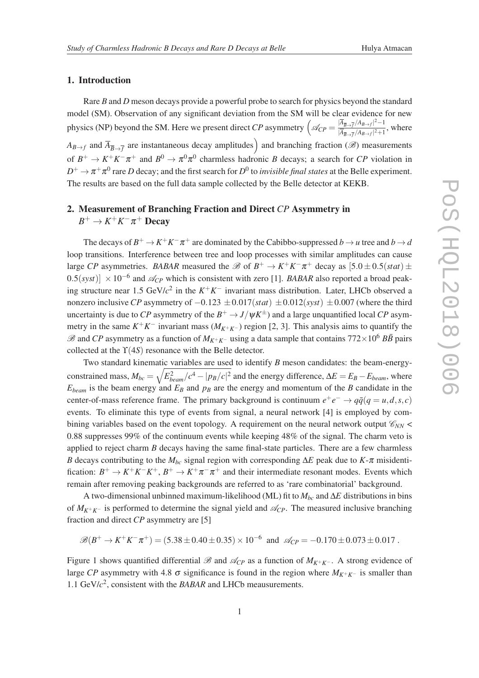#### 1. Introduction

Rare *B* and *D* meson decays provide a powerful probe to search for physics beyond the standard model (SM). Observation of any significant deviation from the SM will be clear evidence for new physics (NP) beyond the SM. Here we present direct *CP* asymmetry  $\left(\mathcal{A}_{CP} = \frac{|\overline{A}_{\overline{B}\rightarrow\overline{f}}/A_{B\rightarrow f}|^2-1}{|\overline{A}_{\overline{A}} - \overline{A}_{\overline{A}_{\overline{A}}}/A_{\overline{B}_{\overline{A}}}/2|+1|}\right)$  $\frac{|A_{B\to f}|}{|A_{\overline{B}\to \overline{f}}/A_{B\to f}|^2+1}$ , where  $A_{B\to f}$  and  $\overline{A}_{\overline{B}\to \overline{f}}$  are instantaneous decay amplitudes) and branching fraction ( $\mathscr{B}$ ) measurements of  $B^+ \to K^+K^-\pi^+$  and  $B^0 \to \pi^0\pi^0$  charmless hadronic *B* decays; a search for *CP* violation in  $D^+ \to \pi^+ \pi^0$  rare *D* decay; and the first search for  $D^0$  to *invisible final states* at the Belle experiment. The results are based on the full data sample collected by the Belle detector at KEKB.

## 2. Measurement of Branching Fraction and Direct *CP* Asymmetry in  $B^+ \to K^+ K^- \pi^+$  Decay

The decays of  $B^+ \to K^+K^-\pi^+$  are dominated by the Cabibbo-suppressed  $b \to u$  tree and  $b \to d$ loop transitions. Interference between tree and loop processes with similar amplitudes can cause large *CP* asymmetries. *BABAR* measured the  $\mathcal{B}$  of  $B^+ \to K^+K^-\pi^+$  decay as  $[5.0 \pm 0.5(stat) \pm$  $(0.5(syst)] \times 10^{-6}$  and  $\mathcal{A}_{CP}$  which is consistent with zero [1]. *BABAR* also reported a broad peaking structure near 1.5 GeV/*c* 2 in the *K* <sup>+</sup>*K* <sup>−</sup> invariant mass distribution. Later, LHCb observed a nonzero inclusive *CP* asymmetry of −0.123 ±0.017(*stat*) ±0.012(*syst*) ±0.007 (where the third uncertainty is due to *CP* asymmetry of the  $B^+ \to J/\psi K^{\pm}$ ) and a large unquantified local *CP* asymmetry in the same  $K^+K^-$  invariant mass  $(M_{K^+K^-})$  region [2, 3]. This analysis aims to quantify the  $\mathscr{B}$  and *CP* asymmetry as a function of  $M_{K^+K^-}$  using a data sample that contains 772×10<sup>6</sup> *BB* pairs collected at the ϒ(4*S*) resonance with the Belle detector.

Two standard kinematic variables are used to identify *B* meson candidates: the beam-energyconstrained mass,  $M_{bc} = \sqrt{E_{beam}^2/c^4 - |p_B/c|^2}$  and the energy difference,  $\Delta E = E_B - E_{beam}$ , where  $E_{beam}$  is the beam energy and  $E_B$  and  $p_B$  are the energy and momentum of the *B* candidate in the center-of-mass reference frame. The primary background is continuum  $e^+e^- \rightarrow q\bar{q}(q=u,d,s,c)$ events. To eliminate this type of events from signal, a neural network [4] is employed by combining variables based on the event topology. A requirement on the neural network output  $\mathcal{C}_{NN}$  < 0.88 suppresses 99% of the continuum events while keeping 48% of the signal. The charm veto is applied to reject charm *B* decays having the same final-state particles. There are a few charmless *B* decays contributing to the  $M_{bc}$  signal region with corresponding  $\Delta E$  peak due to  $K$ -π misidentification:  $B^+ \to K^+K^-K^+$ ,  $B^+ \to K^+\pi^-\pi^+$  and their intermediate resonant modes. Events which remain after removing peaking backgrounds are referred to as 'rare combinatorial' background.

A two-dimensional unbinned maximum-likelihood (ML) fit to  $M_{bc}$  and  $\Delta E$  distributions in bins of  $M_{K^+K^-}$  is performed to determine the signal yield and  $\mathcal{A}_{CP}$ . The measured inclusive branching fraction and direct *CP* asymmetry are [5]

$$
\mathscr{B}(B^+\to K^+K^-\pi^+) = (5.38\pm 0.40\pm 0.35)\times 10^{-6}
$$
 and  $\mathscr{A}_{CP} = -0.170\pm 0.073\pm 0.017$ .

Figure 1 shows quantified differential  $\mathscr B$  and  $\mathscr A_{CP}$  as a function of  $M_{K^+K^-}$ . A strong evidence of large *CP* asymmetry with 4.8  $\sigma$  significance is found in the region where  $M_{K^+K^-}$  is smaller than 1.1 GeV/*c* 2 , consistent with the *BABAR* and LHCb meausurements.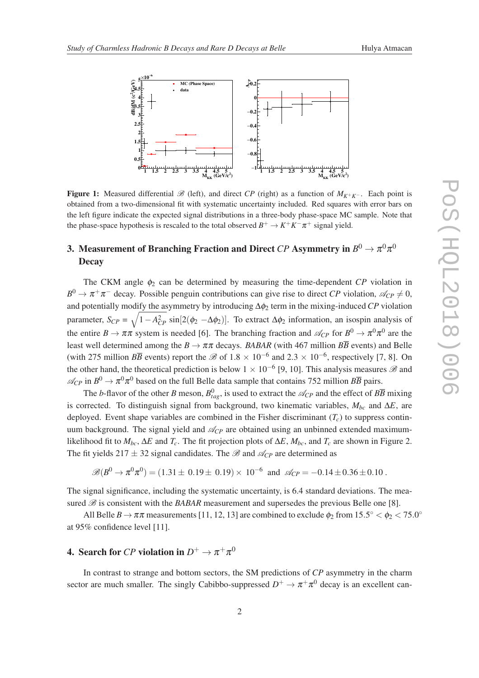

Figure 1: Measured differential  $\mathcal{B}$  (left), and direct *CP* (right) as a function of  $M_{K+K-}$ . Each point is obtained from a two-dimensional fit with systematic uncertainty included. Red squares with error bars on the left figure indicate the expected signal distributions in a three-body phase-space MC sample. Note that the phase-space hypothesis is rescaled to the total observed  $B^+ \to K^+ K^- \pi^+$  signal yield.

## 3. Measurement of Branching Fraction and Direct  $CP$  Asymmetry in  $B^0 \to \pi^0 \pi^0$ **Decay**

The CKM angle  $\phi_2$  can be determined by measuring the time-dependent *CP* violation in  $B^0 \to \pi^+\pi^-$  decay. Possible penguin contributions can give rise to direct *CP* violation,  $\mathcal{A}_{CP} \neq 0$ , and potentially modify the asymmetry by introducing ∆φ<sup>2</sup> term in the mixing-induced *CP* violation parameter,  $S_{CP} = \sqrt{1 - A_{CP}^2} \sin[2(\phi_2 - \Delta \phi_2)]$ . To extract  $\Delta \phi_2$  information, an isospin analysis of the entire  $B \to \pi \pi$  system is needed [6]. The branching fraction and  $\mathcal{A}_{CP}$  for  $B^0 \to \pi^0 \pi^0$  are the least well determined among the  $B \to \pi \pi$  decays. *BABAR* (with 467 million  $B\overline{B}$  events) and Belle (with 275 million  $B\overline{B}$  events) report the  $\mathscr{B}$  of 1.8  $\times$  10<sup>-6</sup> and 2.3  $\times$  10<sup>-6</sup>, respectively [7, 8]. On the other hand, the theoretical prediction is below  $1 \times 10^{-6}$  [9, 10]. This analysis measures  $\mathscr{B}$  and  $\mathcal{A}_{CP}$  in  $B^0 \to \pi^0 \pi^0$  based on the full Belle data sample that contains 752 million  $B\overline{B}$  pairs.

The *b*-flavor of the other *B* meson,  $B_{tag}^0$ , is used to extract the  $\mathcal{A}_{CP}$  and the effect of  $B\overline{B}$  mixing is corrected. To distinguish signal from background, two kinematic variables,  $M_{bc}$  and  $\Delta E$ , are deployed. Event shape variables are combined in the Fisher discriminant  $(T_c)$  to suppress continuum background. The signal yield and  $\mathcal{A}_{CP}$  are obtained using an unbinned extended maximumlikelihood fit to  $M_{bc}$ ,  $\Delta E$  and  $T_c$ . The fit projection plots of  $\Delta E$ ,  $M_{bc}$ , and  $T_c$  are shown in Figure 2. The fit yields 217  $\pm$  32 signal candidates. The B and  $\mathcal{A}_{CP}$  are determined as

$$
\mathscr{B}(B^0 \to \pi^0 \pi^0) = (1.31 \pm 0.19 \pm 0.19) \times 10^{-6}
$$
 and  $\mathscr{A}_{CP} = -0.14 \pm 0.36 \pm 0.10$ .

The signal significance, including the systematic uncertainty, is 6.4 standard deviations. The measured  $\mathcal{B}$  is consistent with the *BABAR* measurement and supersedes the previous Belle one [8].

All Belle  $B \to \pi\pi$  measurements [11, 12, 13] are combined to exclude  $\phi_2$  from  $15.5^\circ < \phi_2 < 75.0^\circ$ at 95% confidence level [11].

## 4. Search for *CP* violation in  $D^+ \to \pi^+ \pi^0$

In contrast to strange and bottom sectors, the SM predictions of *CP* asymmetry in the charm sector are much smaller. The singly Cabibbo-suppressed  $D^+ \to \pi^+ \pi^0$  decay is an excellent can-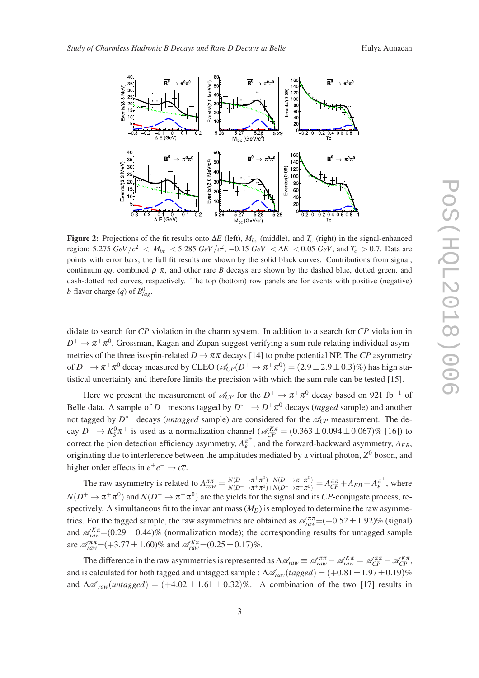

Figure 2: Projections of the fit results onto  $\Delta E$  (left),  $M_{bc}$  (middle), and  $T_c$  (right) in the signal-enhanced region: 5.275 *GeV*/ $c^2$  <  $M_{bc}$  < 5.285 *GeV*/ $c^2$ , -0.15 *GeV* <  $\Delta E$  < 0.05 *GeV*, and  $T_c$  > 0.7. Data are points with error bars; the full fit results are shown by the solid black curves. Contributions from signal, continuum  $q\bar{q}$ , combined  $\rho \pi$ , and other rare *B* decays are shown by the dashed blue, dotted green, and dash-dotted red curves, respectively. The top (bottom) row panels are for events with positive (negative) *b*-flavor charge  $(q)$  of  $B_{tag}^0$ .

didate to search for *CP* violation in the charm system. In addition to a search for *CP* violation in  $D^+\to\pi^+\pi^0,$  Grossman, Kagan and Zupan suggest verifying a sum rule relating individual asymmetries of the three isospin-related  $D \to \pi \pi$  decays [14] to probe potential NP. The *CP* asymmetry of  $D^+\to\pi^+\pi^0$  decay measured by CLEO ( $\mathscr{A}_{CP}(D^+\to\pi^+\pi^0)=(2.9\pm 2.9\pm 0.3)\%$ ) has high statistical uncertainty and therefore limits the precision with which the sum rule can be tested [15].

Here we present the measurement of  $\mathcal{A}_{CP}$  for the  $D^+ \to \pi^+ \pi^0$  decay based on 921 fb<sup>-1</sup> of Belle data. A sample of  $D^+$  mesons tagged by  $D^{*+} \to D^+ \pi^0$  decays (*tagged* sample) and another not tagged by  $D^{*+}$  decays (*untagged* sample) are considered for the  $\mathcal{A}_{CP}$  measurement. The decay  $D^+ \to K_S^0 \pi^+$  is used as a normalization channel ( $\mathcal{A}_{CP}^{K\pi} = (0.363 \pm 0.094 \pm 0.067)\%$  [16]) to correct the pion detection efficiency asymmetry,  $A_{\varepsilon}^{\pi^{\pm}}$  $\sum_{\varepsilon}^{\pi^{\pm}}$ , and the forward-backward asymmetry,  $A_{FB}$ , originating due to interference between the amplitudes mediated by a virtual photon,  $Z^0$  boson, and higher order effects in  $e^+e^- \rightarrow c\overline{c}$ .

The raw asymmetry is related to  $A_{raw}^{\pi\pi} = \frac{N(D^+ \to \pi^+ \pi^0) - N(D^- \to \pi^- \pi^0)}{N(D^+ \to \pi^+ \pi^0) + N(D^- \to \pi^- \pi^0)}$  $\frac{N(D^+\to\pi^+\pi^0)-N(D^-\to\pi^-\pi^0)}{N(D^+\to\pi^+\pi^0)+N(D^-\to\pi^-\pi^0)}=A_{CP}^{\pi\pi}+A_{FB}+A_{\mathcal{E}}^{\pi^{\pm}}$  $\int_{\varepsilon}^{\pi^+}$ , where  $N(D^+ \to \pi^+ \pi^0)$  and  $N(D^- \to \pi^- \pi^0)$  are the yields for the signal and its *CP*-conjugate process, respectively. A simultaneous fit to the invariant mass  $(M<sub>D</sub>)$  is employed to determine the raw asymmetries. For the tagged sample, the raw asymmetries are obtained as  $\mathcal{A}_{raw}^{\pi\pi}$  = (+0.52 ± 1.92)% (signal) and  $\mathcal{A}_{raw}^{K\pi}$  = (0.29  $\pm$  0.44)% (normalization mode); the corresponding results for untagged sample are  $\mathscr{A}_{raw}^{\pi\pi}$  = (+3.77  $\pm$  1.60)% and  $\mathscr{A}_{raw}^{K\pi}$  = (0.25  $\pm$  0.17)%.

The difference in the raw asymmetries is represented as  $\Delta \mathcal{A}_{raw} \equiv \mathcal{A}_{raw}^{\pi\pi} - \mathcal{A}_{raw}^{K\pi} = \mathcal{A}_{CP}^{\pi\pi} - \mathcal{A}_{CP}^{K\pi}$ , and is calculated for both tagged and untagged sample :  $\Delta A_{raw}(tagged) = (+0.81 \pm 1.97 \pm 0.19)\%$ and  $\Delta \mathscr{A}_{raw}(untagger) = (+4.02 \pm 1.61 \pm 0.32)\%$ . A combination of the two [17] results in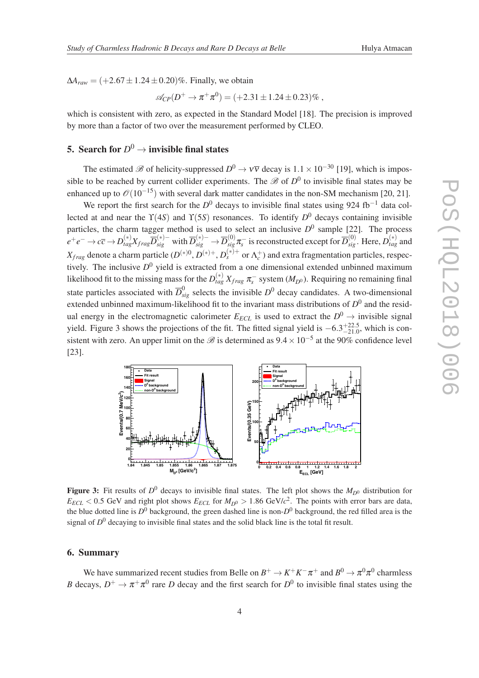$\Delta A_{raw} = (+2.67 \pm 1.24 \pm 0.20)\%$ . Finally, we obtain

$$
\mathcal{A}_{CP}(D^+\to\pi^+\pi^0)=(+2.31\pm1.24\pm0.23)\%
$$
,

which is consistent with zero, as expected in the Standard Model [18]. The precision is improved by more than a factor of two over the measurement performed by CLEO.

## 5. Search for  $D^0 \to$  invisible final states

The estimated  $\mathscr B$  of helicity-suppressed  $D^0 \to \nu \overline{\nu}$  decay is  $1.1 \times 10^{-30}$  [19], which is impossible to be reached by current collider experiments. The  $\mathscr{B}$  of  $D^0$  to invisible final states may be enhanced up to  $\mathcal{O}(10^{-15})$  with several dark matter candidates in the non-SM mechanism [20, 21].

We report the first search for the  $D^0$  decays to invisible final states using 924 fb<sup>-1</sup> data collected at and near the ϒ(4*S*) and ϒ(5*S*) resonances. To identify *D* <sup>0</sup> decays containing invisible particles, the charm tagger method is used to select an inclusive  $D^0$  sample [22]. The process  $e^+e^-\to c\overline{c}\to D^{(*)}_{tag}X_{frag}\overline{D}_{sig}^{(*)-}$  with  $\overline{D}_{sig}^{(*)-}\to\overline{D}_{sig}^{(0)}\pi_s^-$  is reconstructed except for  $\overline{D}_{sig}^{(0)}$ . Here,  $D_{tag}^{(*)}$  and  $X_{frag}$  denote a charm particle  $(D^{(*)0}, D^{(*)+}, D_s^{(*)+}$  or  $\Lambda_c^+$ ) and extra fragmentation particles, respectively. The inclusive *D* <sup>0</sup> yield is extracted from a one dimensional extended unbinned maximum likelihood fit to the missing mass for the  $D_{tag}^{(*)}$   $X_{frag}$   $\pi_s^-$  system ( $M_{D^0}$ ). Requiring no remaining final state particles associated with  $\overline{D}_{sig}^0$  selects the invisible  $D^0$  decay candidates. A two-dimensional extended unbinned maximum-likelihood fit to the invariant mass distributions of  $D^0$  and the residual energy in the electromagnetic calorimeter  $E_{ECL}$  is used to extract the  $D^0 \rightarrow$  invisible signal yield. Figure 3 shows the projections of the fit. The fitted signal yield is  $-6.3^{+22.5}_{-21.0}$ , which is consistent with zero. An upper limit on the  $\mathscr{B}$  is determined as  $9.4 \times 10^{-5}$  at the 90% confidence level [23].



Figure 3: Fit results of  $D^0$  decays to invisible final states. The left plot shows the  $M_{D^0}$  distribution for  $E_{ECL}$  < 0.5 GeV and right plot shows  $E_{ECL}$  for  $M_{D^0}$  > 1.86 GeV/ $c^2$ . The points with error bars are data, the blue dotted line is *D* <sup>0</sup> background, the green dashed line is non-*D* <sup>0</sup> background, the red filled area is the signal of *D* <sup>0</sup> decaying to invisible final states and the solid black line is the total fit result.

#### 6. Summary

We have summarized recent studies from Belle on  $B^+ \to K^+ K^- \pi^+$  and  $B^0 \to \pi^0 \pi^0$  charmless *B* decays,  $D^+ \to \pi^+\pi^0$  rare *D* decay and the first search for  $D^0$  to invisible final states using the